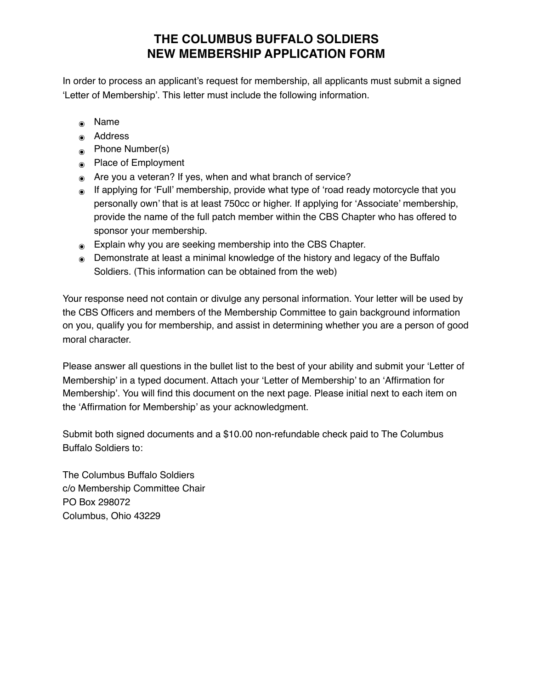## **THE COLUMBUS BUFFALO SOLDIERS NEW MEMBERSHIP APPLICATION FORM**

In order to process an applicant's request for membership, all applicants must submit a signed 'Letter of Membership'. This letter must include the following information.

- ๏ Name
- ๏ Address
- ๏ Phone Number(s)
- ๏ Place of Employment
- ๏ Are you a veteran? If yes, when and what branch of service?
- ๏ If applying for 'Full' membership, provide what type of 'road ready motorcycle that you personally own' that is at least 750cc or higher. If applying for 'Associate' membership, provide the name of the full patch member within the CBS Chapter who has offered to sponsor your membership.
- ๏ Explain why you are seeking membership into the CBS Chapter.
- ๏ Demonstrate at least a minimal knowledge of the history and legacy of the Buffalo Soldiers. (This information can be obtained from the web)

Your response need not contain or divulge any personal information. Your letter will be used by the CBS Officers and members of the Membership Committee to gain background information on you, qualify you for membership, and assist in determining whether you are a person of good moral character.

Please answer all questions in the bullet list to the best of your ability and submit your 'Letter of Membership' in a typed document. Attach your 'Letter of Membership' to an 'Affirmation for Membership'. You will find this document on the next page. Please initial next to each item on the 'Affirmation for Membership' as your acknowledgment.

Submit both signed documents and a \$10.00 non-refundable check paid to The Columbus Buffalo Soldiers to:

The Columbus Buffalo Soldiers c/o Membership Committee Chair PO Box 298072 Columbus, Ohio 43229